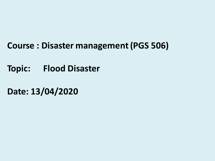## **Course : Disaster management (PGS 506)**

**Topic: Flood Disaster** 

**Date: 13/04/2020**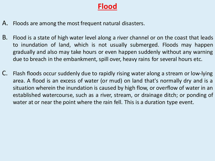### **Flood**

- A. Floods are among the most frequent natural disasters.
- B. Flood is a state of high water level along a river channel or on the coast that leads to inundation of land, which is not usually submerged. Floods may happen gradually and also may take hours or even happen suddenly without any warning due to breach in the embankment, spill over, heavy rains for several hours etc.
- C. Flash floods occur suddenly due to rapidly rising water along a stream or low-lying area. A flood is an excess of water (or mud) on land that's normally dry and is a situation wherein the inundation is caused by high flow, or overflow of water in an established watercourse, such as a river, stream, or drainage ditch; or ponding of water at or near the point where the rain fell. This is a duration type event.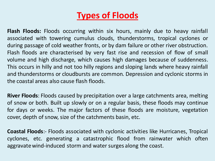# **Types of Floods**

**Flash Floods:** Floods occurring within six hours, mainly due to heavy rainfall associated with towering cumulus clouds, thunderstorms, tropical cyclones or during passage of cold weather fronts, or by dam failure or other river obstruction. Flash floods are characterised by very fast rise and recession of flow of small volume and high discharge, which causes high damages because of suddenness. This occurs in hilly and not too hilly regions and sloping lands where heavy rainfall and thunderstorms or cloudbursts are common. Depression and cyclonic storms in the coastal areas also cause flash floods.

**River Floods**: Floods caused by precipitation over a large catchments area, melting of snow or both. Built up slowly or on a regular basis, these floods may continue for days or weeks. The major factors of these floods are moisture, vegetation cover, depth of snow, size of the catchments basin, etc.

**Coastal Floods**:- Floods associated with cyclonic activities like Hurricanes, Tropical cyclones, etc. generating a catastrophic flood from rainwater which often aggravate wind-induced storm and water surges along the coast.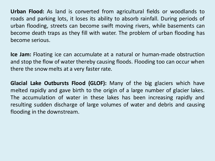**Urban Flood:** As land is converted from agricultural fields or woodlands to roads and parking lots, it loses its ability to absorb rainfall. During periods of urban flooding, streets can become swift moving rivers, while basements can become death traps as they fill with water. The problem of urban flooding has become serious.

**Ice Jam:** Floating ice can accumulate at a natural or human-made obstruction and stop the flow of water thereby causing floods. Flooding too can occur when there the snow melts at a very faster rate.

**Glacial Lake Outbursts Flood (GLOF):** Many of the big glaciers which have melted rapidly and gave birth to the origin of a large number of glacier lakes. The accumulation of water in these lakes has been increasing rapidly and resulting sudden discharge of large volumes of water and debris and causing flooding in the downstream.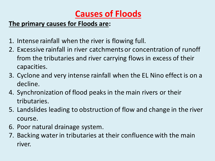# **Causes of Floods**

### **The primary causes for Floods are:**

- 1. Intense rainfall when the river is flowing full.
- 2. Excessive rainfall in river catchments or concentration of runoff from the tributaries and river carrying flows in excess of their capacities.
- 3. Cyclone and very intense rainfall when the EL Nino effect is on a decline.
- 4. Synchronization of flood peaks in the main rivers or their tributaries.
- 5. Landslides leading to obstruction of flow and change in the river course.
- 6. Poor natural drainage system.
- 7. Backing water in tributaries at their confluence with the main river.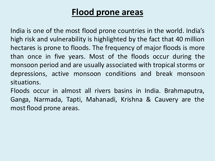## **Flood prone areas**

India is one of the most flood prone countries in the world. India's high risk and vulnerability is highlighted by the fact that 40 million hectares is prone to floods. The frequency of major floods is more than once in five years. Most of the floods occur during the monsoon period and are usually associated with tropical storms or depressions, active monsoon conditions and break monsoon situations.

Floods occur in almost all rivers basins in India. Brahmaputra, Ganga, Narmada, Tapti, Mahanadi, Krishna & Cauvery are the most flood prone areas.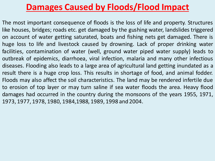## **Damages Caused by Floods/Flood Impact**

The most important consequence of floods is the loss of life and property. Structures like houses, bridges; roads etc. get damaged by the gushing water, landslides triggered on account of water getting saturated, boats and fishing nets get damaged. There is huge loss to life and livestock caused by drowning. Lack of proper drinking water facilities, contamination of water (well, ground water piped water supply) leads to outbreak of epidemics, diarrhoea, viral infection, malaria and many other infectious diseases. Flooding also leads to a large area of agricultural land getting inundated as a result there is a huge crop loss. This results in shortage of food, and animal fodder. Floods may also affect the soil characteristics. The land may be rendered infertile due to erosion of top layer or may turn saline if sea water floods the area. Heavy flood damages had occurred in the country during the monsoons of the years 1955, 1971, 1973, 1977, 1978, 1980, 1984,1988, 1989, 1998 and 2004.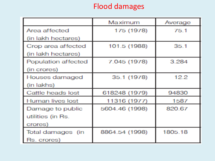## Flood damages

|                     | Maximum        | Average |
|---------------------|----------------|---------|
| Area affected       | 175 (1978)     | 75.1    |
| (in lakh hectares)  |                |         |
| Crop area affected  | 101.5 (1988)   | 35.1    |
| (in lakh hectares)  |                |         |
| Population affected | 7.045 (1978)   | 3.284   |
| (in crores)         |                |         |
| Houses damaged      | 35.1 (1978)    | 12.2    |
| (in lakhs)          |                |         |
| Cattle heads lost   | 618248 (1979)  | 94830   |
| Human lives lost    | 11316 (1977)   | 1587    |
| Damage to public    | 5604.46 (1998) | 820.67  |
| utilities (in Rs.   |                |         |
| crores)             |                |         |
| Total damages (in   | 8864.54 (1998) | 1805.18 |
| Rs. crores)         |                |         |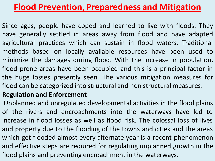# **Flood Prevention, Preparedness and Mitigation**

Since ages, people have coped and learned to live with floods. They have generally settled in areas away from flood and have adapted agricultural practices which can sustain in flood waters. Traditional methods based on locally available resources have been used to minimize the damages during flood. With the increase in population, flood prone areas have been occupied and this is a principal factor in the huge losses presently seen. The various mitigation measures for flood can be categorized into structural and non structural measures.

### **Regulation and Enforcement**

Unplanned and unregulated developmental activities in the flood plains of the rivers and encroachments into the waterways have led to increase in flood losses as well as flood risk. The colossal loss of lives and property due to the flooding of the towns and cities and the areas which get flooded almost every alternate year is a recent phenomenon and effective steps are required for regulating unplanned growth in the flood plains and preventing encroachment in the waterways.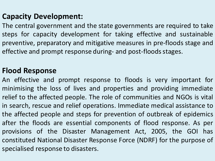## **Capacity Development:**

The central government and the state governments are required to take steps for capacity development for taking effective and sustainable preventive, preparatory and mitigative measures in pre-floods stage and effective and prompt response during- and post-floods stages.

### **Flood Response**

An effective and prompt response to floods is very important for minimising the loss of lives and properties and providing immediate relief to the affected people. The role of communities and NGOs is vital in search, rescue and relief operations. Immediate medical assistance to the affected people and steps for prevention of outbreak of epidemics after the floods are essential components of flood response. As per provisions of the Disaster Management Act, 2005, the GOI has constituted National Disaster Response Force (NDRF) for the purpose of specialised response to disasters.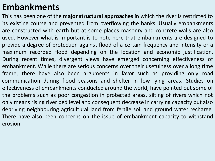## **Embankments**

This has been one of the **major structural approaches** in which the river is restricted to its existing course and prevented from overflowing the banks. Usually embankments are constructed with earth but at some places masonry and concrete walls are also used. However what is important is to note here that embankments are designed to provide a degree of protection against flood of a certain frequency and intensity or a maximum recorded flood depending on the location and economic justification. During recent times, divergent views have emerged concerning effectiveness of embankment. While there are serious concerns over their usefulness over a long time frame, there have also been arguments in favor such as providing only road communication during flood seasons and shelter in low lying areas. Studies on effectiveness of embankments conducted around the world, have pointed out some of the problems such as poor congestion in protected areas, silting of rivers which not only means rising river bed level and consequent decrease in carrying capacity but also depriving neighbouring agricultural land from fertile soil and ground water recharge. There have also been concerns on the issue of embankment capacity to withstand erosion.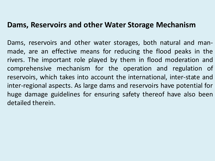### **Dams, Reservoirs and other Water Storage Mechanism**

Dams, reservoirs and other water storages, both natural and manmade, are an effective means for reducing the flood peaks in the rivers. The important role played by them in flood moderation and comprehensive mechanism for the operation and regulation of reservoirs, which takes into account the international, inter-state and inter-regional aspects. As large dams and reservoirs have potential for huge damage guidelines for ensuring safety thereof have also been detailed therein.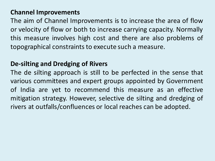#### **Channel Improvements**

The aim of Channel Improvements is to increase the area of flow or velocity of flow or both to increase carrying capacity. Normally this measure involves high cost and there are also problems of topographical constraints to execute such a measure.

### **De-silting and Dredging of Rivers**

The de silting approach is still to be perfected in the sense that various committees and expert groups appointed by Government of India are yet to recommend this measure as an effective mitigation strategy. However, selective de silting and dredging of rivers at outfalls/confluences or local reaches can be adopted.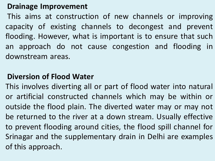### **Drainage Improvement**

This aims at construction of new channels or improving capacity of existing channels to decongest and prevent flooding. However, what is important is to ensure that such an approach do not cause congestion and flooding in downstream areas.

### **Diversion of Flood Water**

This involves diverting all or part of flood water into natural or artificial constructed channels which may be within or outside the flood plain. The diverted water may or may not be returned to the river at a down stream. Usually effective to prevent flooding around cities, the flood spill channel for Srinagar and the supplementary drain in Delhi are examples of this approach.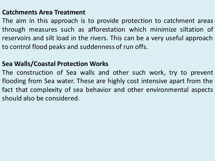#### **Catchments Area Treatment**

The aim in this approach is to provide protection to catchment areas through measures such as afforestation which minimize siltation of reservoirs and silt load in the rivers. This can be a very useful approach to control flood peaks and suddenness of run offs.

### **Sea Walls/Coastal Protection Works**

The construction of Sea walls and other such work, try to prevent flooding from Sea water. These are highly cost intensive apart from the fact that complexity of sea behavior and other environmental aspects should also be considered.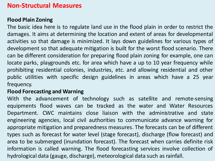#### **Non-Structural Measures**

#### **Flood Plain Zoning**

The basic idea here is to regulate land use in the flood plain in order to restrict the damages. It aims at determining the location and extent of areas for developmental activities so that damage is minimized. It lays down guidelines for various types of development so that adequate mitigation is built for the worst flood scenario. There can be different consideration for preparing flood plain zoning for example, one can locate parks, playgrounds etc. for area which have a up to 10 year frequency while prohibiting residential colonies, industries, etc. and allowing residential and other public utilities with specific design guidelines in areas which have a 25 year frequency.

#### **Flood Forecasting and Warning**

With the advancement of technology such as satellite and remote-sensing equipments flood waves can be tracked as the water and Water Resources Department. CWC maintains close liaison with the administrative and state engineering agencies, local civil authorities to communicate advance warning for appropriate mitigation and preparedness measures. The forecasts can be of different types such as forecast for water level (stage forecast), discharge (flow forecast) and area to be submerged (inundation forecast). The forecast when carries definite risk information is called warning. The flood forecasting services involve collection of hydrological data (gauge, discharge), meteorological data such as rainfall.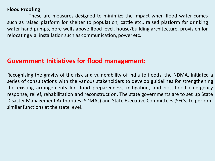#### **Flood Proofing**

These are measures designed to minimize the impact when flood water comes such as raised platform for shelter to population, cattle etc., raised platform for drinking water hand pumps, bore wells above flood level, house/building architecture, provision for relocating vial installation such as communication, power etc.

#### **Government Initiatives for flood management:**

Recognising the gravity of the risk and vulnerability of India to floods, the NDMA, initiated a series of consultations with the various stakeholders to develop guidelines for strengthening the existing arrangements for flood preparedness, mitigation, and post-flood emergency response, relief, rehabilitation and reconstruction. The state governments are to set up State Disaster Management Authorities (SDMAs) and State Executive Committees (SECs) to perform similar functions at the state level.